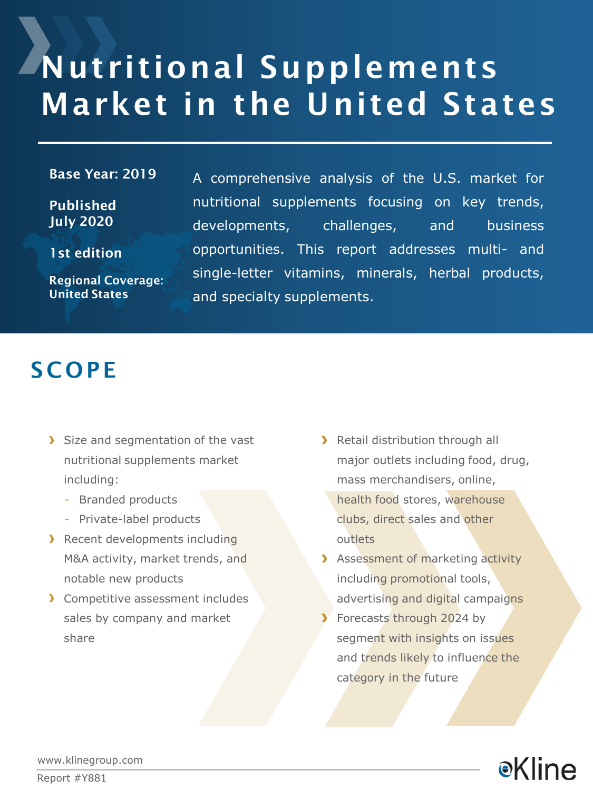# Nutritional Supplements Market in the United States

#### Base Year: 2019

Published July 2020

1st edition

Regional Coverage: United States

A comprehensive analysis of the U.S. market for nutritional supplements focusing on key trends, developments, challenges, and business opportunities. This report addresses multi- and single-letter vitamins, minerals, herbal products, and specialty supplements.

### **SCOPE**

- Size and segmentation of the vast nutritional supplements market including:
	- Branded products
	- Private-label products
- **Recent developments including** M&A activity, market trends, and notable new products
- **>** Competitive assessment includes sales by company and market share
- > Retail distribution through all major outlets including food, drug, mass merchandisers, online, health food stores, warehouse clubs, direct sales and other outlets
- **Assessment of marketing activity** including promotional tools, advertising and digital campaigns
- **Forecasts through 2024 by** segment with insights on issues and trends likely to influence the category in the future



www.klinegroup.com

Report #Y881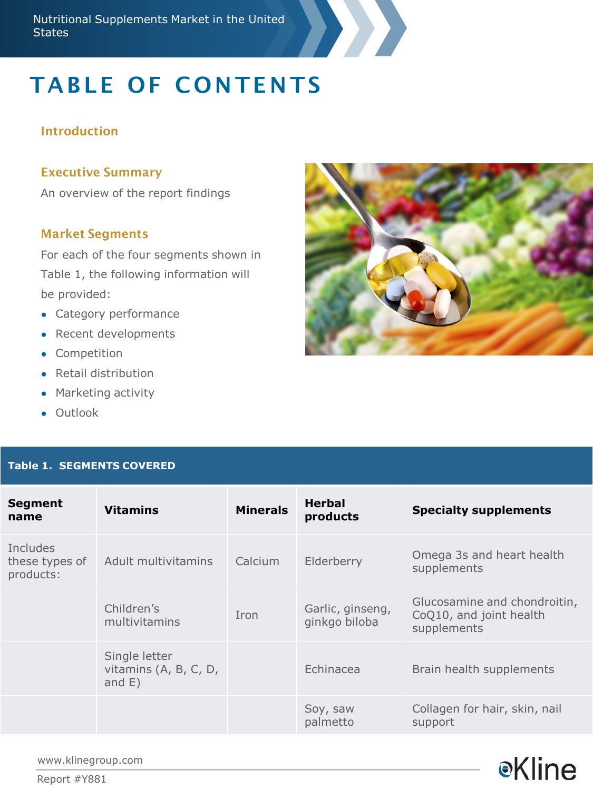# **TABLE OF CONTENTS**

#### Introduction

#### Executive Summary

An overview of the report findings

#### Market Segments

For each of the four segments shown in Table 1, the following information will be provided:

- Category performance
- Recent developments
- Competition
- Retail distribution
- Marketing activity
- Outlook

### **Table 1. SEGMENTS COVERED**





www.klinegroup.com

Report #Y881